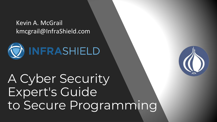### Kevin A. McGrail kmcgrail@InfraShield.com





## A Cyber Security Expert's Guide to Secure Programming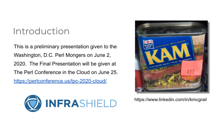### Introduction

This is a preliminary presentation given to the Washington, D.C. Perl Mongers on June 2, 2020. The Final Presentation will be given at The Perl Conference in the Cloud on June 25. <https://perlconference.us/tpc-2020-cloud/>





https://www.linkedin.com/in/kmcgrail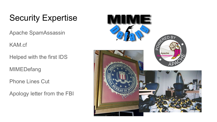## Security Expertise

Apache SpamAssassin

KAM.cf

Helped with the first IDS

MIMEDefang

Phone Lines Cut

Apology letter from the FBI

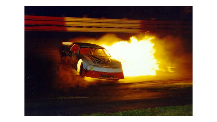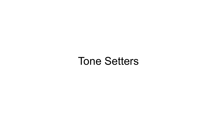## Tone Setters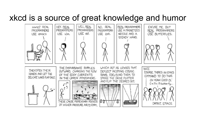### xkcd is a source of great knowledge and humor

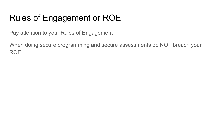### Rules of Engagement or ROE

Pay attention to your Rules of Engagement

When doing secure programming and secure assessments do NOT breach your ROE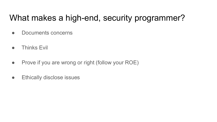### What makes a high-end, security programmer?

- Documents concerns
- **•** Thinks Fvil
- Prove if you are wrong or right (follow your ROE)
- Ethically disclose issues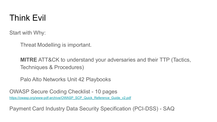### Think Evil

Start with Why:

Threat Modelling is important.

**MITRE** ATT&CK to understand your adversaries and their TTP (Tactics, Techniques & Procedures)

Palo Alto Networks Unit 42 Playbooks

OWASP Secure Coding Checklist - 10 pages [https://owasp.org/www-pdf-archive/OWASP\\_SCP\\_Quick\\_Reference\\_Guide\\_v2.pdf](https://owasp.org/www-pdf-archive/OWASP_SCP_Quick_Reference_Guide_v2.pdf)

Payment Card Industry Data Security Specification (PCI-DSS) - SAQ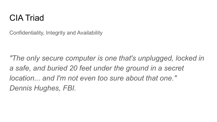### CIA Triad

Confidentiality, Integrity and Availability

*"The only secure computer is one that's unplugged, locked in a safe, and buried 20 feet under the ground in a secret location... and I'm not even too sure about that one." Dennis Hughes, FBI.*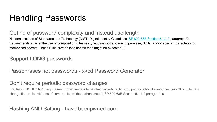### Handling Passwords

#### Get rid of password complexity and instead use length

National Institute of Standards and Technology (NIST) Digital Identity Guidelines, [SP 800-63B Section 5.1.1.2](https://pages.nist.gov/800-63-3/sp800-63b.html#memsecretver) paragraph 9, "recommends against the use of composition rules (e.g., requiring lower-case, upper-case, digits, and/or special characters) for memorized secrets. These rules provide less benefit than might be expected…"

#### Support LONG passwords

#### Passphrases not passwords - xkcd Password Generator

#### Don't require periodic password changes

"Verifiers SHOULD NOT require memorized secrets to be changed arbitrarily (e.g., periodically). However, verifiers SHALL force a change if there is evidence of compromise of the authenticator.", SP 800-63B Section 5.1.1.2 paragraph 9

#### Hashing AND Salting - haveibeenpwned.com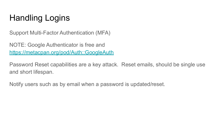## Handling Logins

Support Multi-Factor Authentication (MFA)

NOTE: Google Authenticator is free and <https://metacpan.org/pod/Auth::GoogleAuth>

Password Reset capabilities are a key attack. Reset emails, should be single use and short lifespan.

Notify users such as by email when a password is updated/reset.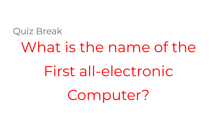# What is the name of the Quiz Break

## First all-electronic

Computer?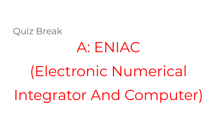### Quiz Break

## A: ENIAC

# (Electronic Numerical

Integrator And Computer)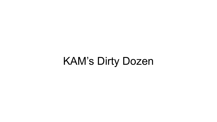## KAM's Dirty Dozen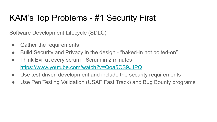### KAM's Top Problems - #1 Security First

Software Development Lifecycle (SDLC)

- Gather the requirements
- Build Security and Privacy in the design "baked-in not bolted-on"
- Think Evil at every scrum Scrum in 2 minutes <https://www.youtube.com/watch?v=Qoa5CS9JJPQ>
- Use test-driven development and include the security requirements
- Use Pen Testing Validation (USAF Fast Track) and Bug Bounty programs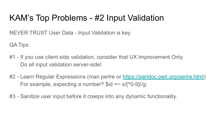### KAM's Top Problems - #2 Input Validation

NEVER TRUST User Data - Input Validation is key

QA Tips:

- #1 If you use client side validation, consider that UX Improvement Only. Do all input validation server-side!
- #2 Learn Regular Expressions (man perlre or [https://perldoc.perl.org/perlre.html\)](https://perldoc.perl.org/perlre.html) For example, expecting a number?  $\frac{2}{3}$ id =~ s/[^0-9]//g;
- #3 Sanitize user input before it creeps into any dynamic functionality.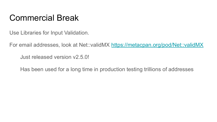### Commercial Break

Use Libraries for Input Validation.

For email addresses, look at Net::validMX<https://metacpan.org/pod/Net::validMX>

Just released version v2.5.0!

Has been used for a long time in production testing trillions of addresses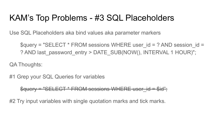### KAM's Top Problems - #3 SQL Placeholders

Use SQL Placeholders aka bind values aka parameter markers

\$query = "SELECT \* FROM sessions WHERE user\_id = ? AND session\_id = ? AND last password entry > DATE\_SUB(NOW(), INTERVAL 1 HOUR)";

QA Thoughts:

#1 Grep your SQL Queries for variables

\$query = "SELECT \* FROM sessions WHERE user\_id = \$id";

#2 Try input variables with single quotation marks and tick marks.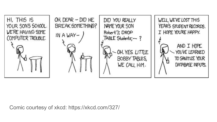OH, DEAR - DID HE HI, THIS IS DID YOU REALLY WELL, WE'VE LOST THIS YOUR SON'S SCHOOL. BREAK SOMETHING? YEAR'S STUDENT RECORDS. NAME YOUR SON **WE'RE HAVING SOME** Robert'); DROP I HOPE YOU'RE HAPPY. IN A WAY-COMPUTER TROUBLE. TABLE Students:--? AND I HOPE OH, YES. LITTLE YOU'VE LEARNED TO SANITIZE YOUR BOBBY TABLES, WE CALL HIM. DATABASE INPUTS.

Comic courtesy of xkcd: https://xkcd.com/327/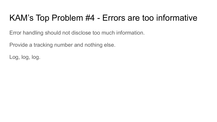### KAM's Top Problem #4 - Errors are too informative

Error handling should not disclose too much information.

Provide a tracking number and nothing else.

Log, log, log.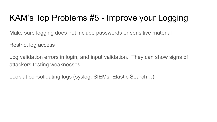### KAM's Top Problems #5 - Improve your Logging

Make sure logging does not include passwords or sensitive material

Restrict log access

Log validation errors in login, and input validation. They can show signs of attackers testing weaknesses.

Look at consolidating logs (syslog, SIEMs, Elastic Search…)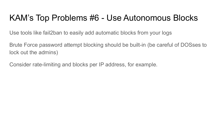### KAM's Top Problems #6 - Use Autonomous Blocks

Use tools like fail2ban to easily add automatic blocks from your logs

Brute Force password attempt blocking should be built-in (be careful of DOSses to lock out the admins)

Consider rate-limiting and blocks per IP address, for example.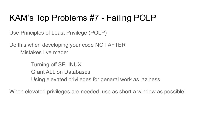### KAM's Top Problems #7 - Failing POLP

Use Principles of Least Privilege (POLP)

Do this when developing your code NOT AFTER Mistakes I've made:

> Turning off SELINUX Grant ALL on Databases Using elevated privileges for general work as laziness

When elevated privileges are needed, use as short a window as possible!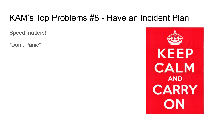### KAM's Top Problems #8 - Have an Incident Plan

Speed matters!

"Don't Panic"

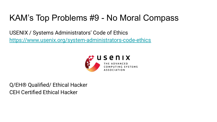### KAM's Top Problems #9 - No Moral Compass

USENIX / Systems Administrators' Code of Ethics

<https://www.usenix.org/system-administrators-code-ethics>



Q/EH® Qualified/ Ethical Hacker CEH Certified Ethical Hacker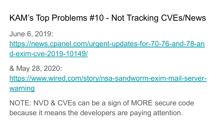### KAM's Top Problems #10 - Not Tracking CVEs/News

June 6, 2019:

[https://news.cpanel.com/urgent-updates-for-70-76-and-78-an](https://news.cpanel.com/urgent-updates-for-70-76-and-78-and-exim-cve-2019-10149/) [d-exim-cve-2019-10149/](https://news.cpanel.com/urgent-updates-for-70-76-and-78-and-exim-cve-2019-10149/)

& May 28, 2020:

[https://www.wired.com/story/nsa-sandworm-exim-mail-server](https://www.wired.com/story/nsa-sandworm-exim-mail-server-warning)**[warning](https://www.wired.com/story/nsa-sandworm-exim-mail-server-warning)** 

NOTE: NVD & CVEs can be a sign of MORE secure code because it means the developers are paying attention.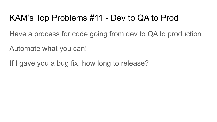### KAM's Top Problems #11 - Dev to QA to Prod

Have a process for code going from dev to QA to production

Automate what you can!

If I gave you a bug fix, how long to release?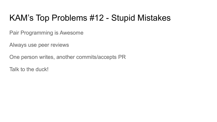### KAM's Top Problems #12 - Stupid Mistakes

Pair Programming is Awesome

Always use peer reviews

One person writes, another commits/accepts PR

Talk to the duck!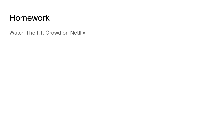### Homework

Watch The I.T. Crowd on Netflix